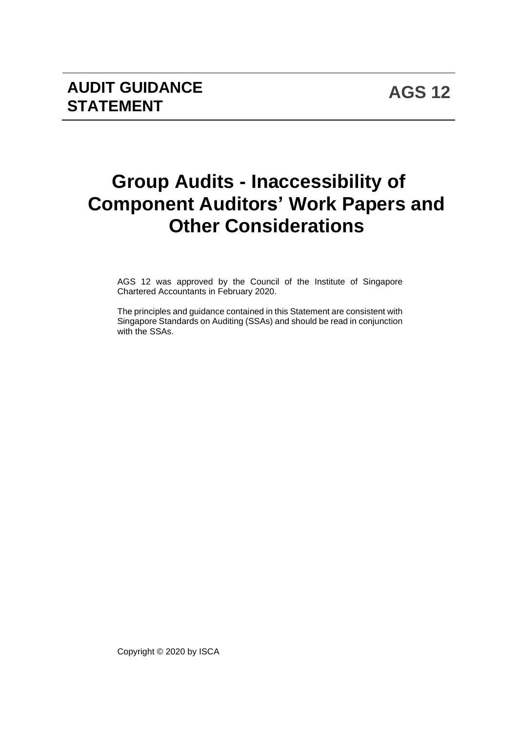# **Group Audits - Inaccessibility of Component Auditors' Work Papers and Other Considerations**

AGS 12 was approved by the Council of the Institute of Singapore Chartered Accountants in February 2020.

The principles and guidance contained in this Statement are consistent with Singapore Standards on Auditing (SSAs) and should be read in conjunction with the SSAs.

Copyright © 2020 by ISCA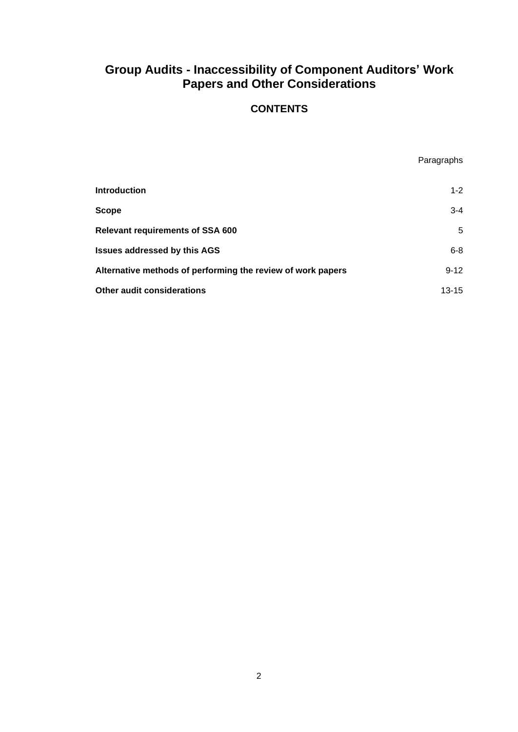#### **Group Audits - Inaccessibility of Component Auditors' Work Papers and Other Considerations**

#### **CONTENTS**

Paragraphs

| <b>Introduction</b>                                         | $1 - 2$   |
|-------------------------------------------------------------|-----------|
| <b>Scope</b>                                                | $3-4$     |
| <b>Relevant requirements of SSA 600</b>                     | 5         |
| <b>Issues addressed by this AGS</b>                         | $6 - 8$   |
| Alternative methods of performing the review of work papers | $9 - 12$  |
| <b>Other audit considerations</b>                           | $13 - 15$ |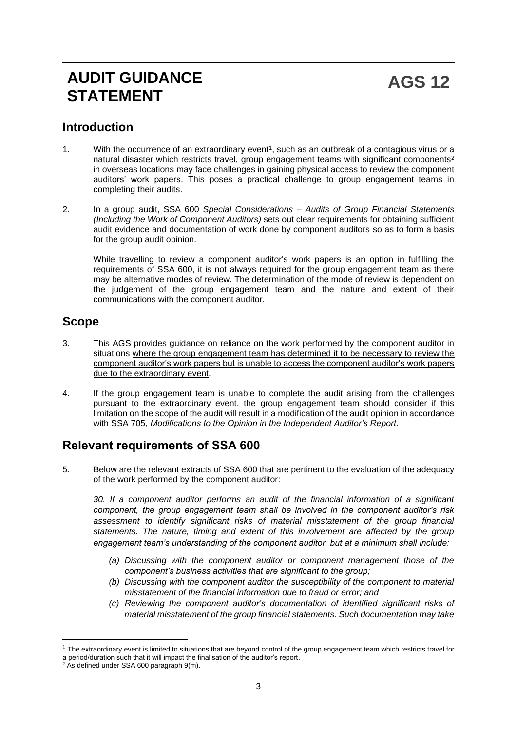# **AUDIT GUIDANCE STATEMENT**

#### **Introduction**

- 1. With the occurrence of an extraordinary event<sup>1</sup>, such as an outbreak of a contagious virus or a natural disaster which restricts travel, group engagement teams with significant components<sup>2</sup> in overseas locations may face challenges in gaining physical access to review the component auditors' work papers. This poses a practical challenge to group engagement teams in completing their audits.
- 2. In a group audit, SSA 600 *Special Considerations – Audits of Group Financial Statements (Including the Work of Component Auditors)* sets out clear requirements for obtaining sufficient audit evidence and documentation of work done by component auditors so as to form a basis for the group audit opinion.

While travelling to review a component auditor's work papers is an option in fulfilling the requirements of SSA 600, it is not always required for the group engagement team as there may be alternative modes of review. The determination of the mode of review is dependent on the judgement of the group engagement team and the nature and extent of their communications with the component auditor.

#### **Scope**

- 3. This AGS provides guidance on reliance on the work performed by the component auditor in situations where the group engagement team has determined it to be necessary to review the component auditor's work papers but is unable to access the component auditor's work papers due to the extraordinary event.
- 4. If the group engagement team is unable to complete the audit arising from the challenges pursuant to the extraordinary event, the group engagement team should consider if this limitation on the scope of the audit will result in a modification of the audit opinion in accordance with SSA 705, *Modifications to the Opinion in the Independent Auditor's Report*.

## **Relevant requirements of SSA 600**

5. Below are the relevant extracts of SSA 600 that are pertinent to the evaluation of the adequacy of the work performed by the component auditor:

*30. If a component auditor performs an audit of the financial information of a significant component, the group engagement team shall be involved in the component auditor's risk assessment to identify significant risks of material misstatement of the group financial statements. The nature, timing and extent of this involvement are affected by the group engagement team's understanding of the component auditor, but at a minimum shall include:*

- *(a) Discussing with the component auditor or component management those of the component's business activities that are significant to the group;*
- *(b) Discussing with the component auditor the susceptibility of the component to material misstatement of the financial information due to fraud or error; and*
- *(c) Reviewing the component auditor's documentation of identified significant risks of material misstatement of the group financial statements. Such documentation may take*

 $1$  The extraordinary event is limited to situations that are beyond control of the group engagement team which restricts travel for a period/duration such that it will impact the finalisation of the auditor's report.

 $2$  As defined under SSA 600 paragraph  $9(m)$ .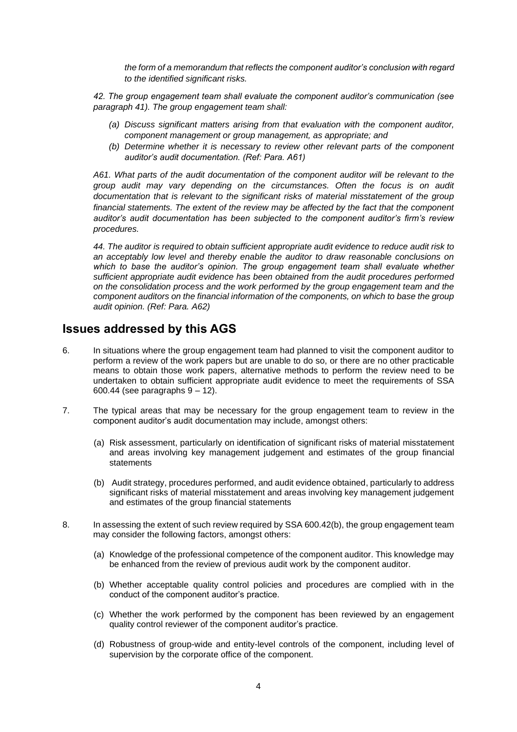*the form of a memorandum that reflects the component auditor's conclusion with regard to the identified significant risks.*

*42. The group engagement team shall evaluate the component auditor's communication (see paragraph 41). The group engagement team shall:* 

- *(a) Discuss significant matters arising from that evaluation with the component auditor, component management or group management, as appropriate; and*
- *(b) Determine whether it is necessary to review other relevant parts of the component auditor's audit documentation. (Ref: Para. A61)*

*A61. What parts of the audit documentation of the component auditor will be relevant to the group audit may vary depending on the circumstances. Often the focus is on audit documentation that is relevant to the significant risks of material misstatement of the group financial statements. The extent of the review may be affected by the fact that the component auditor's audit documentation has been subjected to the component auditor's firm's review procedures.*

*44. The auditor is required to obtain sufficient appropriate audit evidence to reduce audit risk to an acceptably low level and thereby enable the auditor to draw reasonable conclusions on which to base the auditor's opinion. The group engagement team shall evaluate whether sufficient appropriate audit evidence has been obtained from the audit procedures performed on the consolidation process and the work performed by the group engagement team and the component auditors on the financial information of the components, on which to base the group audit opinion. (Ref: Para. A62)*

#### **Issues addressed by this AGS**

- 6. In situations where the group engagement team had planned to visit the component auditor to perform a review of the work papers but are unable to do so, or there are no other practicable means to obtain those work papers, alternative methods to perform the review need to be undertaken to obtain sufficient appropriate audit evidence to meet the requirements of SSA 600.44 (see paragraphs  $9 - 12$ ).
- 7. The typical areas that may be necessary for the group engagement team to review in the component auditor's audit documentation may include, amongst others:
	- (a) Risk assessment, particularly on identification of significant risks of material misstatement and areas involving key management judgement and estimates of the group financial statements
	- (b) Audit strategy, procedures performed, and audit evidence obtained, particularly to address significant risks of material misstatement and areas involving key management judgement and estimates of the group financial statements
- 8. In assessing the extent of such review required by SSA 600.42(b), the group engagement team may consider the following factors, amongst others:
	- (a) Knowledge of the professional competence of the component auditor. This knowledge may be enhanced from the review of previous audit work by the component auditor.
	- (b) Whether acceptable quality control policies and procedures are complied with in the conduct of the component auditor's practice.
	- (c) Whether the work performed by the component has been reviewed by an engagement quality control reviewer of the component auditor's practice.
	- (d) Robustness of group-wide and entity-level controls of the component, including level of supervision by the corporate office of the component.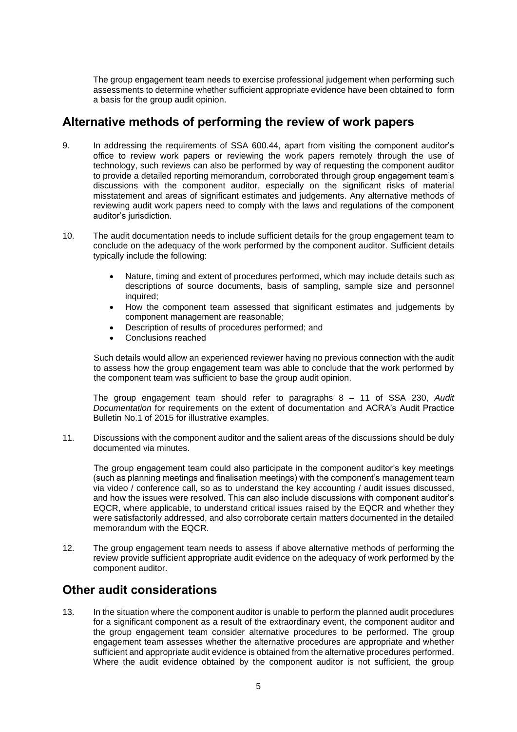The group engagement team needs to exercise professional judgement when performing such assessments to determine whether sufficient appropriate evidence have been obtained to form a basis for the group audit opinion.

#### **Alternative methods of performing the review of work papers**

- 9. In addressing the requirements of SSA 600.44, apart from visiting the component auditor's office to review work papers or reviewing the work papers remotely through the use of technology, such reviews can also be performed by way of requesting the component auditor to provide a detailed reporting memorandum, corroborated through group engagement team's discussions with the component auditor, especially on the significant risks of material misstatement and areas of significant estimates and judgements. Any alternative methods of reviewing audit work papers need to comply with the laws and regulations of the component auditor's jurisdiction.
- 10. The audit documentation needs to include sufficient details for the group engagement team to conclude on the adequacy of the work performed by the component auditor. Sufficient details typically include the following:
	- Nature, timing and extent of procedures performed, which may include details such as descriptions of source documents, basis of sampling, sample size and personnel inquired;
	- How the component team assessed that significant estimates and judgements by component management are reasonable;
	- Description of results of procedures performed; and
	- Conclusions reached

Such details would allow an experienced reviewer having no previous connection with the audit to assess how the group engagement team was able to conclude that the work performed by the component team was sufficient to base the group audit opinion.

The group engagement team should refer to paragraphs 8 – 11 of SSA 230, *Audit Documentation* for requirements on the extent of documentation and ACRA's Audit Practice Bulletin No.1 of 2015 for illustrative examples.

11. Discussions with the component auditor and the salient areas of the discussions should be duly documented via minutes.

The group engagement team could also participate in the component auditor's key meetings (such as planning meetings and finalisation meetings) with the component's management team via video / conference call, so as to understand the key accounting / audit issues discussed, and how the issues were resolved. This can also include discussions with component auditor's EQCR, where applicable, to understand critical issues raised by the EQCR and whether they were satisfactorily addressed, and also corroborate certain matters documented in the detailed memorandum with the EQCR.

12. The group engagement team needs to assess if above alternative methods of performing the review provide sufficient appropriate audit evidence on the adequacy of work performed by the component auditor.

### **Other audit considerations**

13. In the situation where the component auditor is unable to perform the planned audit procedures for a significant component as a result of the extraordinary event, the component auditor and the group engagement team consider alternative procedures to be performed. The group engagement team assesses whether the alternative procedures are appropriate and whether sufficient and appropriate audit evidence is obtained from the alternative procedures performed. Where the audit evidence obtained by the component auditor is not sufficient, the group